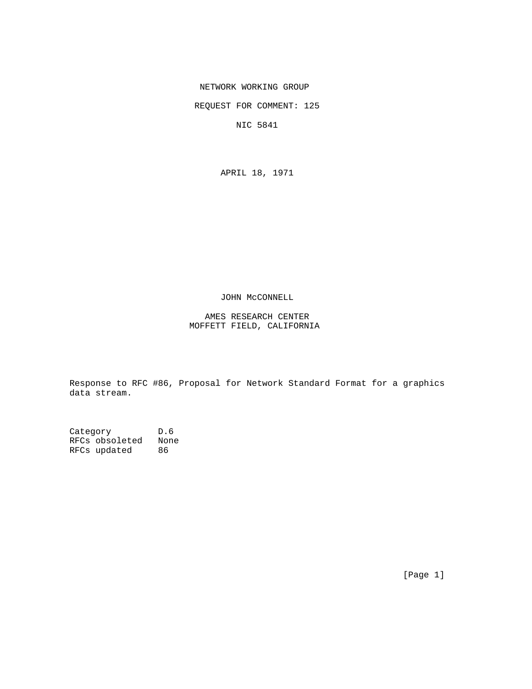NETWORK WORKING GROUP

REQUEST FOR COMMENT: 125

NIC 5841

APRIL 18, 1971

## JOHN McCONNELL

## AMES RESEARCH CENTER MOFFETT FIELD, CALIFORNIA

Response to RFC #86, Proposal for Network Standard Format for a graphics data stream.

Category D.6 RFCs obsoleted None RFCs updated 86

[Page 1]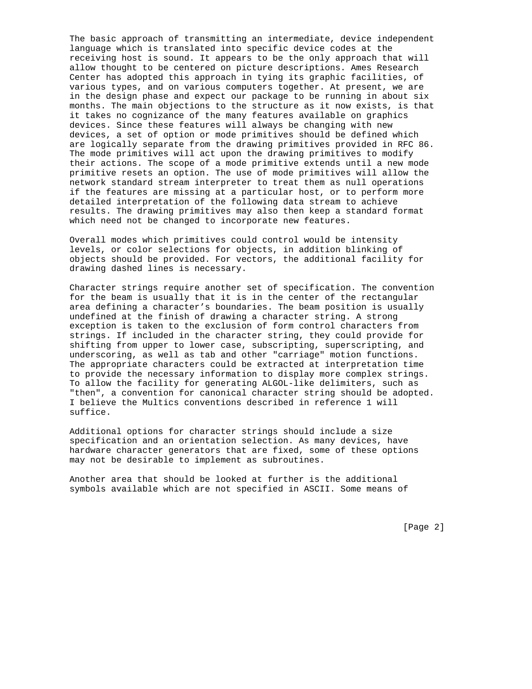The basic approach of transmitting an intermediate, device independent language which is translated into specific device codes at the receiving host is sound. It appears to be the only approach that will allow thought to be centered on picture descriptions. Ames Research Center has adopted this approach in tying its graphic facilities, of various types, and on various computers together. At present, we are in the design phase and expect our package to be running in about six months. The main objections to the structure as it now exists, is that it takes no cognizance of the many features available on graphics devices. Since these features will always be changing with new devices, a set of option or mode primitives should be defined which are logically separate from the drawing primitives provided in RFC 86. The mode primitives will act upon the drawing primitives to modify their actions. The scope of a mode primitive extends until a new mode primitive resets an option. The use of mode primitives will allow the network standard stream interpreter to treat them as null operations if the features are missing at a particular host, or to perform more detailed interpretation of the following data stream to achieve results. The drawing primitives may also then keep a standard format which need not be changed to incorporate new features.

Overall modes which primitives could control would be intensity levels, or color selections for objects, in addition blinking of objects should be provided. For vectors, the additional facility for drawing dashed lines is necessary.

Character strings require another set of specification. The convention for the beam is usually that it is in the center of the rectangular area defining a character's boundaries. The beam position is usually undefined at the finish of drawing a character string. A strong exception is taken to the exclusion of form control characters from strings. If included in the character string, they could provide for shifting from upper to lower case, subscripting, superscripting, and underscoring, as well as tab and other "carriage" motion functions. The appropriate characters could be extracted at interpretation time to provide the necessary information to display more complex strings. To allow the facility for generating ALGOL-like delimiters, such as "then", a convention for canonical character string should be adopted. I believe the Multics conventions described in reference 1 will suffice.

Additional options for character strings should include a size specification and an orientation selection. As many devices, have hardware character generators that are fixed, some of these options may not be desirable to implement as subroutines.

Another area that should be looked at further is the additional symbols available which are not specified in ASCII. Some means of

[Page 2]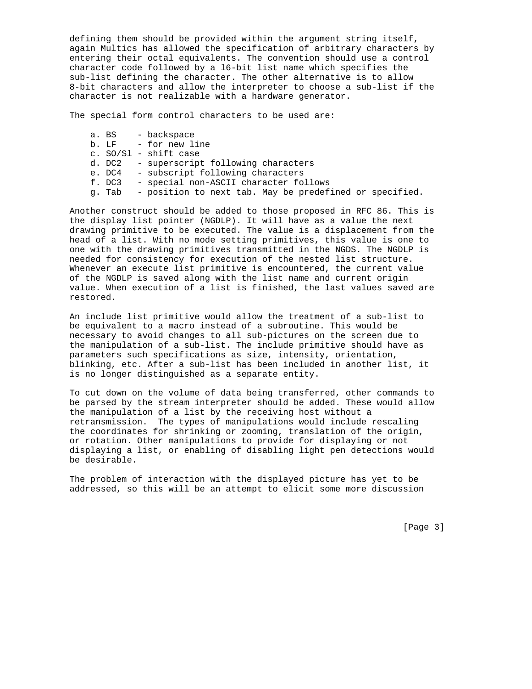defining them should be provided within the argument string itself, again Multics has allowed the specification of arbitrary characters by entering their octal equivalents. The convention should use a control character code followed by a l6-bit list name which specifies the sub-list defining the character. The other alternative is to allow 8-bit characters and allow the interpreter to choose a sub-list if the character is not realizable with a hardware generator.

The special form control characters to be used are:

a. BS - backspace b. LF - for new line c. SO/Sl - shift case d. DC2 - superscript following characters e. DC4 - subscript following characters f. DC3 - special non-ASCII character follows g. Tab - position to next tab. May be predefined or specified.

Another construct should be added to those proposed in RFC 86. This is the display list pointer (NGDLP). It will have as a value the next drawing primitive to be executed. The value is a displacement from the head of a list. With no mode setting primitives, this value is one to one with the drawing primitives transmitted in the NGDS. The NGDLP is needed for consistency for execution of the nested list structure. Whenever an execute list primitive is encountered, the current value of the NGDLP is saved along with the list name and current origin value. When execution of a list is finished, the last values saved are restored.

An include list primitive would allow the treatment of a sub-list to be equivalent to a macro instead of a subroutine. This would be necessary to avoid changes to all sub-pictures on the screen due to the manipulation of a sub-list. The include primitive should have as parameters such specifications as size, intensity, orientation, blinking, etc. After a sub-list has been included in another list, it is no longer distinguished as a separate entity.

To cut down on the volume of data being transferred, other commands to be parsed by the stream interpreter should be added. These would allow the manipulation of a list by the receiving host without a retransmission. The types of manipulations would include rescaling the coordinates for shrinking or zooming, translation of the origin, or rotation. Other manipulations to provide for displaying or not displaying a list, or enabling of disabling light pen detections would be desirable.

The problem of interaction with the displayed picture has yet to be addressed, so this will be an attempt to elicit some more discussion

[Page 3]